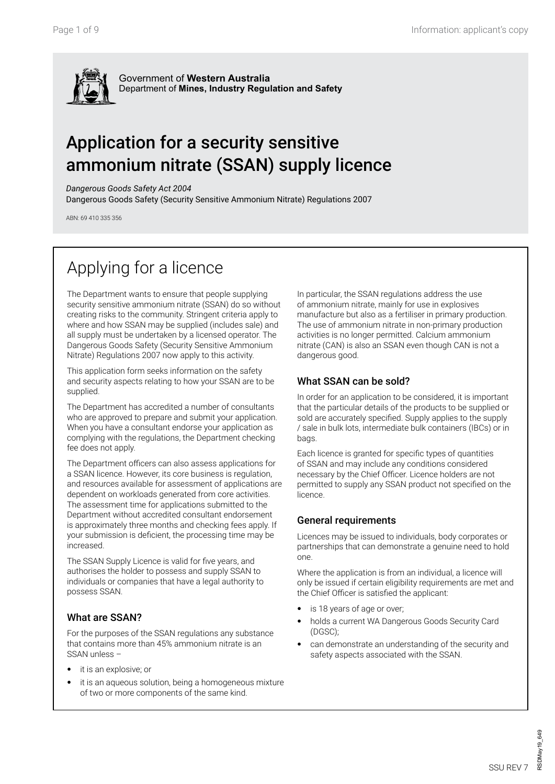

Government of **Western Australia** Department of **Mines, Industry Regulation and Safety**

# Application for a security sensitive ammonium nitrate (SSAN) supply licence

*Dangerous Goods Safety Act 2004*

Dangerous Goods Safety (Security Sensitive Ammonium Nitrate) Regulations 2007

ABN: 69 410 335 356

# Applying for a licence

The Department wants to ensure that people supplying security sensitive ammonium nitrate (SSAN) do so without creating risks to the community. Stringent criteria apply to where and how SSAN may be supplied (includes sale) and all supply must be undertaken by a licensed operator. The Dangerous Goods Safety (Security Sensitive Ammonium Nitrate) Regulations 2007 now apply to this activity.

This application form seeks information on the safety and security aspects relating to how your SSAN are to be supplied.

The Department has accredited a number of consultants who are approved to prepare and submit your application. When you have a consultant endorse your application as complying with the regulations, the Department checking fee does not apply.

The Department officers can also assess applications for a SSAN licence. However, its core business is regulation, and resources available for assessment of applications are dependent on workloads generated from core activities. The assessment time for applications submitted to the Department without accredited consultant endorsement is approximately three months and checking fees apply. If your submission is deficient, the processing time may be increased.

The SSAN Supply Licence is valid for five years, and authorises the holder to possess and supply SSAN to individuals or companies that have a legal authority to possess SSAN.

### What are SSAN?

For the purposes of the SSAN regulations any substance that contains more than 45% ammonium nitrate is an SSAN unless –

- it is an explosive; or
- it is an aqueous solution, being a homogeneous mixture of two or more components of the same kind.

In particular, the SSAN regulations address the use of ammonium nitrate, mainly for use in explosives manufacture but also as a fertiliser in primary production. The use of ammonium nitrate in non-primary production activities is no longer permitted. Calcium ammonium nitrate (CAN) is also an SSAN even though CAN is not a dangerous good.

### What SSAN can be sold?

In order for an application to be considered, it is important that the particular details of the products to be supplied or sold are accurately specified. Supply applies to the supply / sale in bulk lots, intermediate bulk containers (IBCs) or in bags.

Each licence is granted for specific types of quantities of SSAN and may include any conditions considered necessary by the Chief Officer. Licence holders are not permitted to supply any SSAN product not specified on the licence.

### General requirements

Licences may be issued to individuals, body corporates or partnerships that can demonstrate a genuine need to hold one.

Where the application is from an individual, a licence will only be issued if certain eligibility requirements are met and the Chief Officer is satisfied the applicant:

- is 18 years of age or over;
- holds a current WA Dangerous Goods Security Card (DGSC);
- can demonstrate an understanding of the security and safety aspects associated with the SSAN.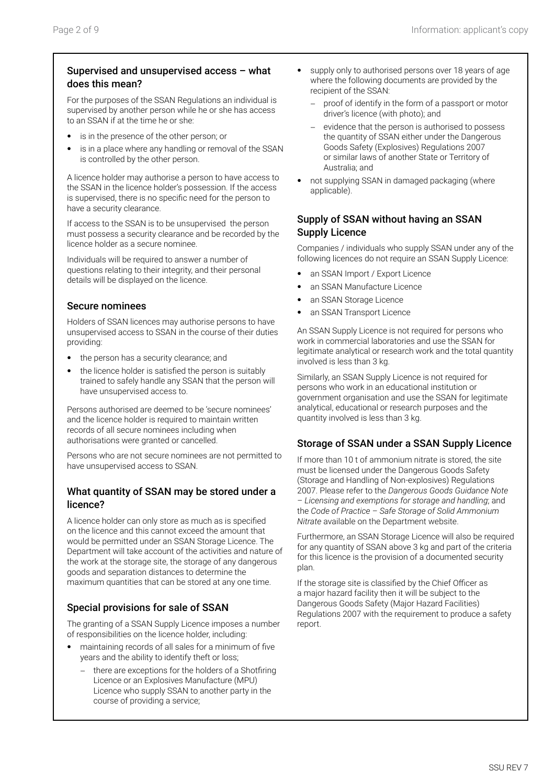### Supervised and unsupervised access – what does this mean?

For the purposes of the SSAN Regulations an individual is supervised by another person while he or she has access to an SSAN if at the time he or she:

- is in the presence of the other person; or
- is in a place where any handling or removal of the SSAN is controlled by the other person.

A licence holder may authorise a person to have access to the SSAN in the licence holder's possession. If the access is supervised, there is no specific need for the person to have a security clearance.

If access to the SSAN is to be unsupervised the person must possess a security clearance and be recorded by the licence holder as a secure nominee.

Individuals will be required to answer a number of questions relating to their integrity, and their personal details will be displayed on the licence.

### Secure nominees

Holders of SSAN licences may authorise persons to have unsupervised access to SSAN in the course of their duties providing:

- the person has a security clearance; and
- the licence holder is satisfied the person is suitably trained to safely handle any SSAN that the person will have unsupervised access to.

Persons authorised are deemed to be 'secure nominees' and the licence holder is required to maintain written records of all secure nominees including when authorisations were granted or cancelled.

Persons who are not secure nominees are not permitted to have unsupervised access to SSAN.

### What quantity of SSAN may be stored under a licence?

A licence holder can only store as much as is specified on the licence and this cannot exceed the amount that would be permitted under an SSAN Storage Licence. The Department will take account of the activities and nature of the work at the storage site, the storage of any dangerous goods and separation distances to determine the maximum quantities that can be stored at any one time.

### Special provisions for sale of SSAN

The granting of a SSAN Supply Licence imposes a number of responsibilities on the licence holder, including:

- maintaining records of all sales for a minimum of five years and the ability to identify theft or loss;
	- there are exceptions for the holders of a Shotfiring Licence or an Explosives Manufacture (MPU) Licence who supply SSAN to another party in the course of providing a service;
- supply only to authorised persons over 18 years of age where the following documents are provided by the recipient of the SSAN:
	- proof of identify in the form of a passport or motor driver's licence (with photo); and
	- evidence that the person is authorised to possess the quantity of SSAN either under the Dangerous Goods Safety (Explosives) Regulations 2007 or similar laws of another State or Territory of Australia; and
- not supplying SSAN in damaged packaging (where applicable).

### Supply of SSAN without having an SSAN Supply Licence

Companies / individuals who supply SSAN under any of the following licences do not require an SSAN Supply Licence:

- an SSAN Import / Export Licence
- an SSAN Manufacture Licence
- an SSAN Storage Licence
- an SSAN Transport Licence

An SSAN Supply Licence is not required for persons who work in commercial laboratories and use the SSAN for legitimate analytical or research work and the total quantity involved is less than 3 kg.

Similarly, an SSAN Supply Licence is not required for persons who work in an educational institution or government organisation and use the SSAN for legitimate analytical, educational or research purposes and the quantity involved is less than 3 kg.

### Storage of SSAN under a SSAN Supply Licence

If more than 10 t of ammonium nitrate is stored, the site must be licensed under the Dangerous Goods Safety (Storage and Handling of Non-explosives) Regulations 2007. Please refer to the *Dangerous Goods Guidance Note – Licensing and exemptions for storage and handling*; and the *Code of Practice – Safe Storage of Solid Ammonium Nitrate* available on the Department website.

Furthermore, an SSAN Storage Licence will also be required for any quantity of SSAN above 3 kg and part of the criteria for this licence is the provision of a documented security plan.

If the storage site is classified by the Chief Officer as a major hazard facility then it will be subject to the Dangerous Goods Safety (Major Hazard Facilities) Regulations 2007 with the requirement to produce a safety report.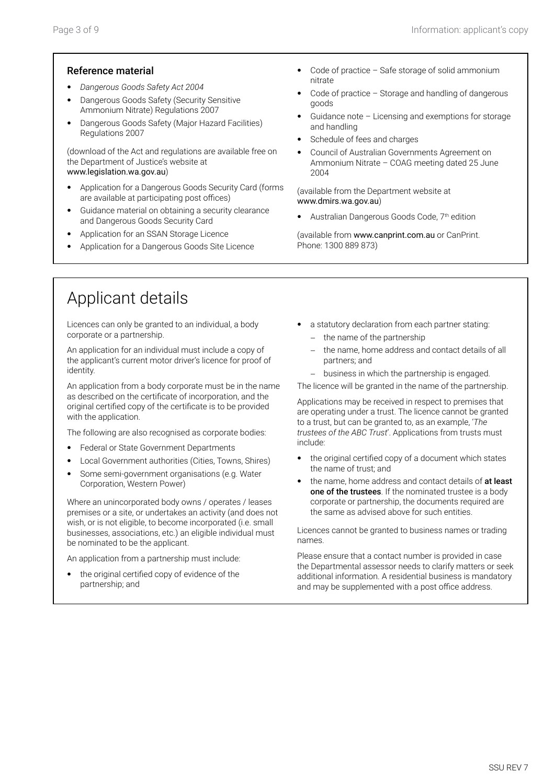#### Reference material

- *Dangerous Goods Safety Act 2004*
- Dangerous Goods Safety (Security Sensitive Ammonium Nitrate) Regulations 2007
- Dangerous Goods Safety (Major Hazard Facilities) Regulations 2007

(download of the Act and regulations are available free on the Department of Justice's website at www.legislation.wa.gov.au)

- Application for a Dangerous Goods Security Card (forms are available at participating post offices)
- Guidance material on obtaining a security clearance and Dangerous Goods Security Card
- Application for an SSAN Storage Licence
- Application for a Dangerous Goods Site Licence
- Code of practice Safe storage of solid ammonium nitrate
- Code of practice  $-$  Storage and handling of dangerous goods
- Guidance note Licensing and exemptions for storage and handling
- Schedule of fees and charges
- Council of Australian Governments Agreement on Ammonium Nitrate – COAG meeting dated 25 June 2004

(available from the Department website at www.dmirs.wa.gov.au)

Australian Dangerous Goods Code, 7<sup>th</sup> edition

(available from www.canprint.com.au or CanPrint. Phone: 1300 889 873)

## Applicant details

Licences can only be granted to an individual, a body corporate or a partnership.

An application for an individual must include a copy of the applicant's current motor driver's licence for proof of identity.

An application from a body corporate must be in the name as described on the certificate of incorporation, and the original certified copy of the certificate is to be provided with the application.

The following are also recognised as corporate bodies:

- Federal or State Government Departments
- Local Government authorities (Cities, Towns, Shires)
- Some semi-government organisations (e.g. Water Corporation, Western Power)

Where an unincorporated body owns / operates / leases premises or a site, or undertakes an activity (and does not wish, or is not eligible, to become incorporated (i.e. small businesses, associations, etc.) an eligible individual must be nominated to be the applicant.

An application from a partnership must include:

the original certified copy of evidence of the partnership; and

- a statutory declaration from each partner stating:
	- − the name of the partnership
	- the name, home address and contact details of all partners; and
	- − business in which the partnership is engaged.

The licence will be granted in the name of the partnership.

Applications may be received in respect to premises that are operating under a trust. The licence cannot be granted to a trust, but can be granted to, as an example, '*The trustees of the ABC Trust*'. Applications from trusts must include:

- the original certified copy of a document which states the name of trust; and
- the name, home address and contact details of at least one of the trustees. If the nominated trustee is a body corporate or partnership, the documents required are the same as advised above for such entities.

Licences cannot be granted to business names or trading names.

Please ensure that a contact number is provided in case the Departmental assessor needs to clarify matters or seek additional information. A residential business is mandatory and may be supplemented with a post office address.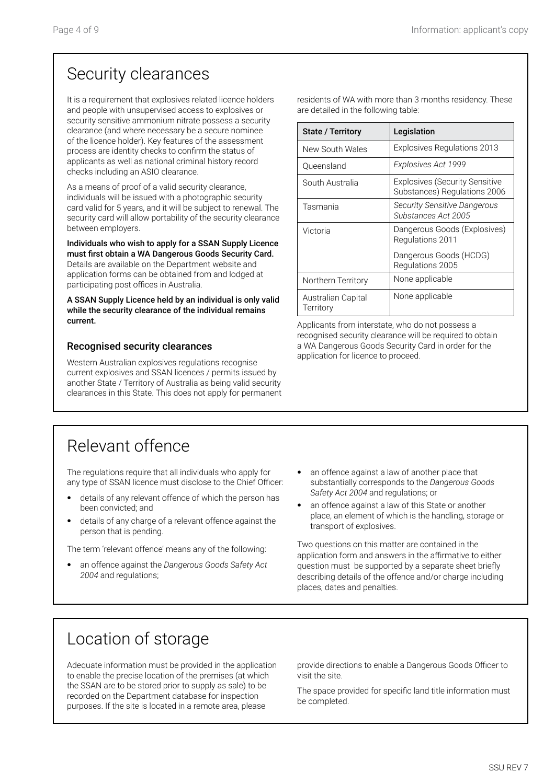# Security clearances

It is a requirement that explosives related licence holders and people with unsupervised access to explosives or security sensitive ammonium nitrate possess a security clearance (and where necessary be a secure nominee of the licence holder). Key features of the assessment process are identity checks to confirm the status of applicants as well as national criminal history record checks including an ASIO clearance.

As a means of proof of a valid security clearance, individuals will be issued with a photographic security card valid for 5 years, and it will be subject to renewal. The security card will allow portability of the security clearance between employers.

Individuals who wish to apply for a SSAN Supply Licence must first obtain a WA Dangerous Goods Security Card.

Details are available on the Department website and application forms can be obtained from and lodged at participating post offices in Australia.

A SSAN Supply Licence held by an individual is only valid while the security clearance of the individual remains current.

### Recognised security clearances

Western Australian explosives regulations recognise current explosives and SSAN licences / permits issued by another State / Territory of Australia as being valid security clearances in this State. This does not apply for permanent residents of WA with more than 3 months residency. These are detailed in the following table:

| <b>State / Territory</b>        | Legislation                                                           |  |
|---------------------------------|-----------------------------------------------------------------------|--|
| New South Wales                 | <b>Explosives Regulations 2013</b>                                    |  |
| Oueensland                      | Explosives Act 1999                                                   |  |
| South Australia                 | <b>Explosives (Security Sensitive</b><br>Substances) Regulations 2006 |  |
| Tasmania                        | <b>Security Sensitive Dangerous</b><br>Substances Act 2005            |  |
| Victoria                        | Dangerous Goods (Explosives)<br>Regulations 2011                      |  |
|                                 | Dangerous Goods (HCDG)<br>Regulations 2005                            |  |
| Northern Territory              | None applicable                                                       |  |
| Australian Capital<br>Territory | None applicable                                                       |  |

Applicants from interstate, who do not possess a recognised security clearance will be required to obtain a WA Dangerous Goods Security Card in order for the application for licence to proceed.

# Relevant offence

The regulations require that all individuals who apply for any type of SSAN licence must disclose to the Chief Officer:

- details of any relevant offence of which the person has been convicted; and
- details of any charge of a relevant offence against the person that is pending.

The term 'relevant offence' means any of the following:

- an offence against the *Dangerous Goods Safety Act 2004* and regulations;
- an offence against a law of another place that substantially corresponds to the *Dangerous Goods Safety Act 2004* and regulations; or
- an offence against a law of this State or another place, an element of which is the handling, storage or transport of explosives.

Two questions on this matter are contained in the application form and answers in the affirmative to either question must be supported by a separate sheet briefly describing details of the offence and/or charge including places, dates and penalties.

# Location of storage

Adequate information must be provided in the application to enable the precise location of the premises (at which the SSAN are to be stored prior to supply as sale) to be recorded on the Department database for inspection purposes. If the site is located in a remote area, please

provide directions to enable a Dangerous Goods Officer to visit the site.

The space provided for specific land title information must be completed.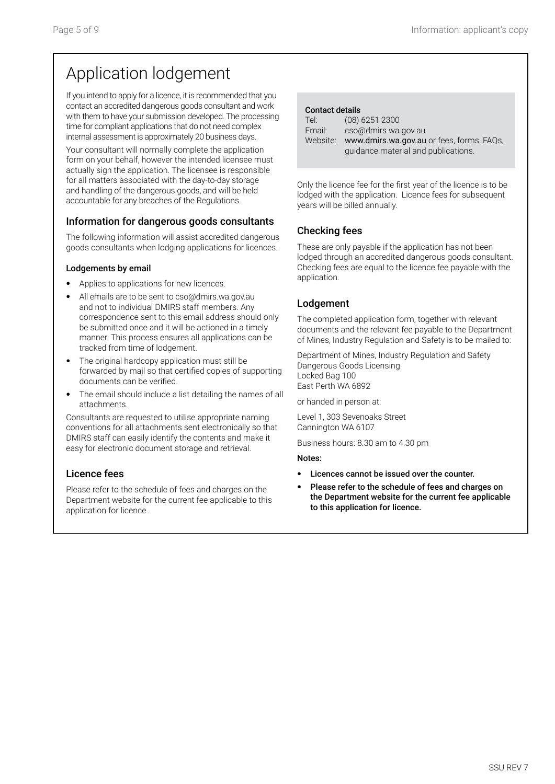# Application lodgement

If you intend to apply for a licence, it is recommended that you contact an accredited dangerous goods consultant and work with them to have your submission developed. The processing time for compliant applications that do not need complex internal assessment is approximately 20 business days.

Your consultant will normally complete the application form on your behalf, however the intended licensee must actually sign the application. The licensee is responsible for all matters associated with the day-to-day storage and handling of the dangerous goods, and will be held accountable for any breaches of the Regulations.

### Information for dangerous goods consultants

The following information will assist accredited dangerous goods consultants when lodging applications for licences.

#### Lodgements by email

- Applies to applications for new licences.
- All emails are to be sent to cso@dmirs.wa.gov.au and not to individual DMIRS staff members. Any correspondence sent to this email address should only be submitted once and it will be actioned in a timely manner. This process ensures all applications can be tracked from time of lodgement.
- The original hardcopy application must still be forwarded by mail so that certified copies of supporting documents can be verified.
- The email should include a list detailing the names of all attachments.

Consultants are requested to utilise appropriate naming conventions for all attachments sent electronically so that DMIRS staff can easily identify the contents and make it easy for electronic document storage and retrieval.

### Licence fees

Please refer to the schedule of fees and charges on the Department website for the current fee applicable to this application for licence.

| <b>Contact details</b> |
|------------------------|
|------------------------|

| $(08)$ 6251 2300                                                                 |
|----------------------------------------------------------------------------------|
| cso@dmirs.wa.gov.au                                                              |
| www.dmirs.wa.gov.au or fees, forms, FAQs,<br>quidance material and publications. |
|                                                                                  |

Only the licence fee for the first year of the licence is to be lodged with the application. Licence fees for subsequent years will be billed annually.

### Checking fees

These are only payable if the application has not been lodged through an accredited dangerous goods consultant. Checking fees are equal to the licence fee payable with the application.

### Lodgement

The completed application form, together with relevant documents and the relevant fee payable to the Department of Mines, Industry Regulation and Safety is to be mailed to:

Department of Mines, Industry Regulation and Safety Dangerous Goods Licensing Locked Bag 100 East Perth WA 6892

or handed in person at:

Level 1, 303 Sevenoaks Street Cannington WA 6107

Business hours: 8.30 am to 4.30 pm

#### Notes:

- Licences cannot be issued over the counter.
- Please refer to the schedule of fees and charges on the Department website for the current fee applicable to this application for licence.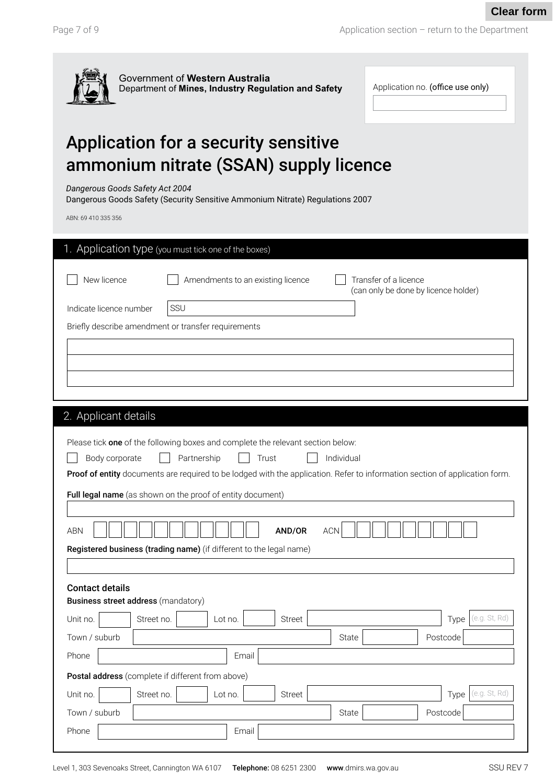Application section – return to the Department

| $\overline{\mathcal{L}}$ | Government of Western Australia<br>Department of Mines, Industry Regulation and Safety |  |
|--------------------------|----------------------------------------------------------------------------------------|--|
|--------------------------|----------------------------------------------------------------------------------------|--|

| Application no. (office use only) |
|-----------------------------------|
|                                   |

# Application for a security sensitive ammonium nitrate (SSAN) supply licence

*Dangerous Goods Safety Act 2004*

Dangerous Goods Safety (Security Sensitive Ammonium Nitrate) Regulations 2007

ABN: 69 410 335 356

| ABN: 69 410 335 356                                                  |                                                                                                                             |  |  |  |  |  |
|----------------------------------------------------------------------|-----------------------------------------------------------------------------------------------------------------------------|--|--|--|--|--|
|                                                                      | 1. Application type (you must tick one of the boxes)                                                                        |  |  |  |  |  |
| New licence                                                          | Amendments to an existing licence<br>Transfer of a licence<br>(can only be done by licence holder)                          |  |  |  |  |  |
| Indicate licence number                                              | SSU                                                                                                                         |  |  |  |  |  |
|                                                                      | Briefly describe amendment or transfer requirements                                                                         |  |  |  |  |  |
|                                                                      |                                                                                                                             |  |  |  |  |  |
|                                                                      |                                                                                                                             |  |  |  |  |  |
|                                                                      |                                                                                                                             |  |  |  |  |  |
|                                                                      |                                                                                                                             |  |  |  |  |  |
| 2. Applicant details                                                 |                                                                                                                             |  |  |  |  |  |
|                                                                      | Please tick one of the following boxes and complete the relevant section below:                                             |  |  |  |  |  |
| Individual<br>Body corporate<br>Partnership<br>Trust                 |                                                                                                                             |  |  |  |  |  |
|                                                                      | Proof of entity documents are required to be lodged with the application. Refer to information section of application form. |  |  |  |  |  |
|                                                                      | Full legal name (as shown on the proof of entity document)                                                                  |  |  |  |  |  |
| <b>ABN</b>                                                           | <b>ACN</b><br>AND/OR                                                                                                        |  |  |  |  |  |
|                                                                      | Registered business (trading name) (if different to the legal name)                                                         |  |  |  |  |  |
|                                                                      |                                                                                                                             |  |  |  |  |  |
| <b>Contact details</b><br><b>Business street address (mandatory)</b> |                                                                                                                             |  |  |  |  |  |
| Unit no.                                                             | (e.g. St, Rd)<br>Street no.<br>Street<br>Lot no.<br>Type                                                                    |  |  |  |  |  |
| Town / suburb                                                        | Postcode<br>State                                                                                                           |  |  |  |  |  |
| Phone                                                                | Email                                                                                                                       |  |  |  |  |  |
|                                                                      | Postal address (complete if different from above)                                                                           |  |  |  |  |  |
| Unit no.                                                             | (e.g. St. Rd)<br>Street no.<br>Lot no.<br>Street<br>Type                                                                    |  |  |  |  |  |
| Town / suburb                                                        | Postcode<br>State                                                                                                           |  |  |  |  |  |
| Phone                                                                | Email                                                                                                                       |  |  |  |  |  |
|                                                                      |                                                                                                                             |  |  |  |  |  |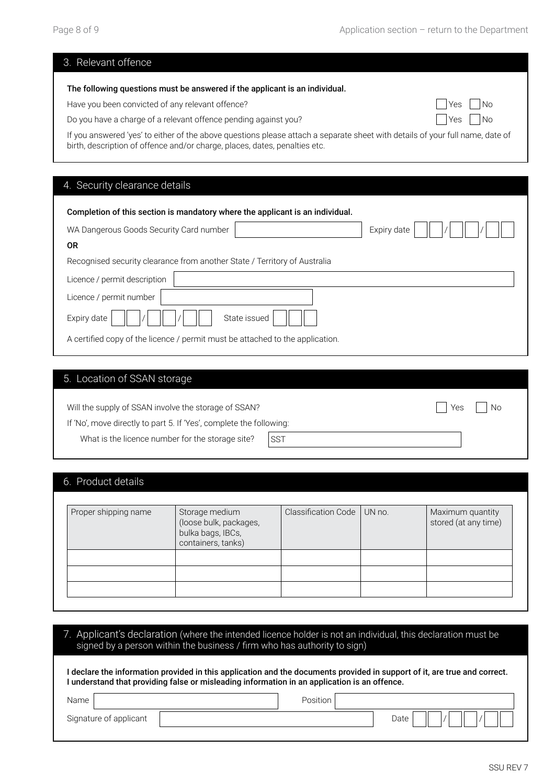| 3. Relevant offence                                                                                                                                                                                         |           |  |  |  |
|-------------------------------------------------------------------------------------------------------------------------------------------------------------------------------------------------------------|-----------|--|--|--|
| The following questions must be answered if the applicant is an individual.                                                                                                                                 |           |  |  |  |
| Have you been convicted of any relevant offence?                                                                                                                                                            | No<br>Yes |  |  |  |
| Do you have a charge of a relevant offence pending against you?                                                                                                                                             | No<br>Yes |  |  |  |
| If you answered 'yes' to either of the above questions please attach a separate sheet with details of your full name, date of<br>birth, description of offence and/or charge, places, dates, penalties etc. |           |  |  |  |
|                                                                                                                                                                                                             |           |  |  |  |
| 4. Security clearance details                                                                                                                                                                               |           |  |  |  |
| Completion of this section is mandatory where the applicant is an individual.                                                                                                                               |           |  |  |  |
| WA Dangerous Goods Security Card number<br>Expiry date                                                                                                                                                      |           |  |  |  |
| <b>OR</b>                                                                                                                                                                                                   |           |  |  |  |
| Recognised security clearance from another State / Territory of Australia                                                                                                                                   |           |  |  |  |
| Licence / permit description                                                                                                                                                                                |           |  |  |  |
| Licence / permit number                                                                                                                                                                                     |           |  |  |  |
| State issued<br>Expiry date                                                                                                                                                                                 |           |  |  |  |
| A certified copy of the licence / permit must be attached to the application.                                                                                                                               |           |  |  |  |

### 5. Location of SSAN storage

| Will the supply of SSAN involve the storage of SSAN?                | i   Yes     No |  |  |
|---------------------------------------------------------------------|----------------|--|--|
| If 'No', move directly to part 5. If 'Yes', complete the following: |                |  |  |
| What is the licence number for the storage site?                    | ISST           |  |  |

### 6. Product details

| Proper shipping name | Storage medium<br>(loose bulk, packages,<br>bulka bags, IBCs,<br>containers, tanks) | Classification Code | UN no. | Maximum quantity<br>stored (at any time) |
|----------------------|-------------------------------------------------------------------------------------|---------------------|--------|------------------------------------------|
|                      |                                                                                     |                     |        |                                          |
|                      |                                                                                     |                     |        |                                          |
|                      |                                                                                     |                     |        |                                          |

| Applicant's declaration (where the intended licence holder is not an individual, this declaration must be<br>signed by a person within the business / firm who has authority to sign) |                                                                                                                           |  |  |  |  |
|---------------------------------------------------------------------------------------------------------------------------------------------------------------------------------------|---------------------------------------------------------------------------------------------------------------------------|--|--|--|--|
| understand that providing false or misleading information in an application is an offence.                                                                                            | l declare the information provided in this application and the documents provided in support of it, are true and correct. |  |  |  |  |
| Name                                                                                                                                                                                  | Position                                                                                                                  |  |  |  |  |
| Signature of applicant                                                                                                                                                                | Date                                                                                                                      |  |  |  |  |